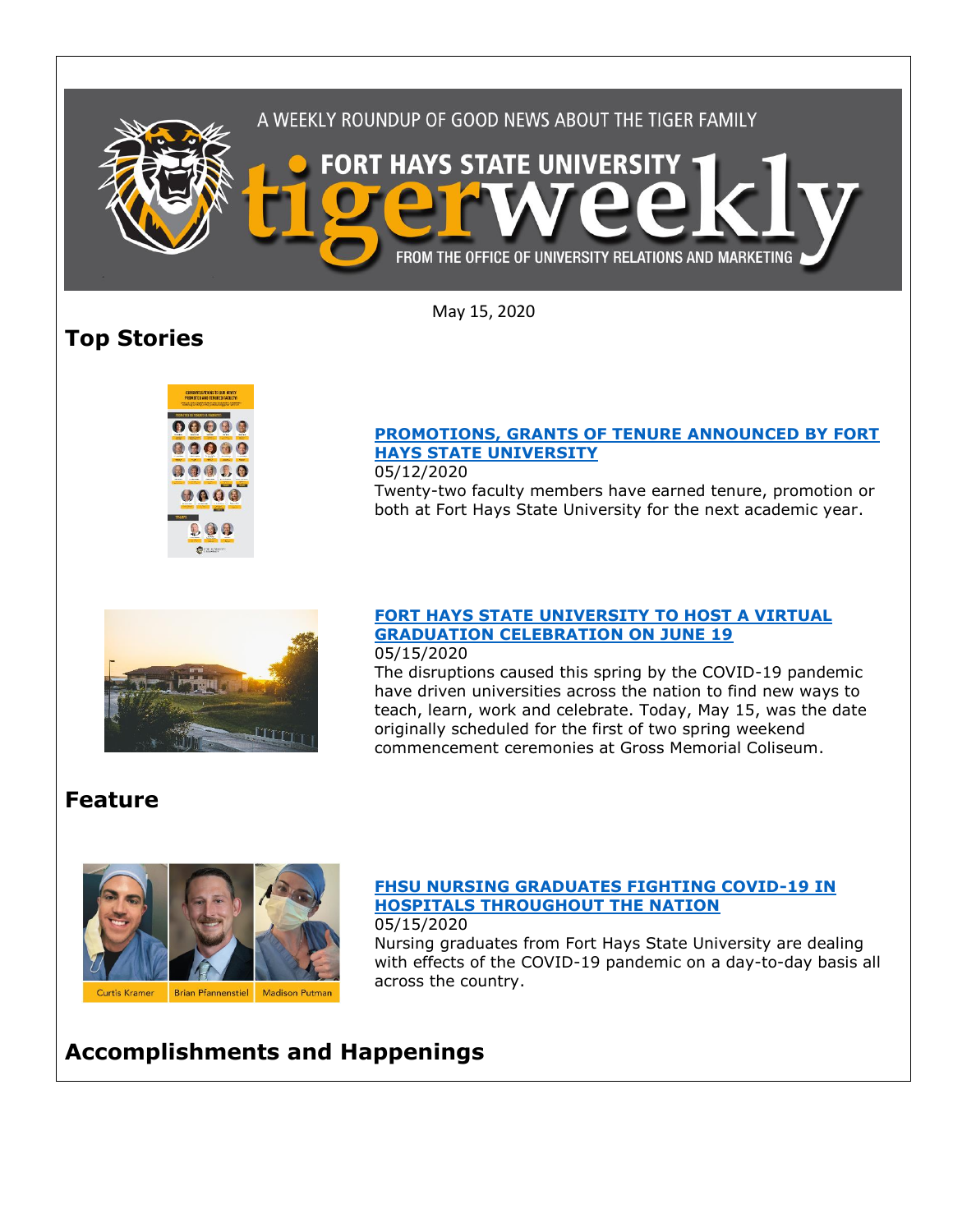

May 15, 2020

# **Top Stories**



#### **[PROMOTIONS, GRANTS OF TENURE ANNOUNCED BY FORT](https://www.fhsu.edu/news/2020/05/promotions,-grants-of-tenure-announced-by-fort-hays-state-university)  [HAYS STATE UNIVERSITY](https://www.fhsu.edu/news/2020/05/promotions,-grants-of-tenure-announced-by-fort-hays-state-university)**

05/12/2020 Twenty-two faculty members have earned tenure, promotion or both at Fort Hays State University for the next academic year.



### **FORT [HAYS STATE UNIVERSITY TO HOST A VIRTUAL](https://www.fhsu.edu/news/2020/05/fort-hays-state-university-to-host-a-virtual-graduation-celebration-on-june-19)  [GRADUATION CELEBRATION ON JUNE 19](https://www.fhsu.edu/news/2020/05/fort-hays-state-university-to-host-a-virtual-graduation-celebration-on-june-19)**

05/15/2020

The disruptions caused this spring by the COVID-19 pandemic have driven universities across the nation to find new ways to teach, learn, work and celebrate. Today, May 15, was the date originally scheduled for the first of two spring weekend commencement ceremonies at Gross Memorial Coliseum.

## **Feature**



#### **[FHSU NURSING GRADUATES FIGHTING COVID-19 IN](https://www.fhsu.edu/news/2020/05/fhsu-nursing-graduates-fighting-covid-19-in-hospitals-throughout-the-nation)  [HOSPITALS THROUGHOUT THE NATION](https://www.fhsu.edu/news/2020/05/fhsu-nursing-graduates-fighting-covid-19-in-hospitals-throughout-the-nation)** 05/15/2020

Nursing graduates from Fort Hays State University are dealing with effects of the COVID-19 pandemic on a day-to-day basis all across the country.

## **Accomplishments and Happenings**